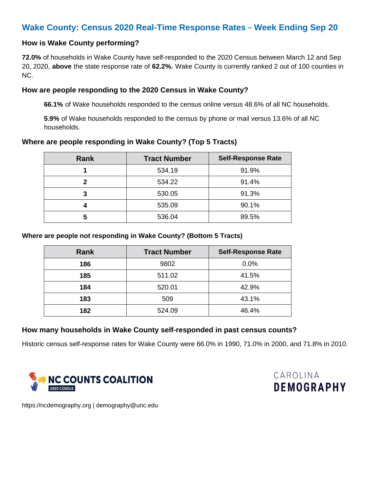# **Wake County: Census 2020 Real-Time Response Rates** – **Week Ending Sep 20**

# **How is Wake County performing?**

**72.0%** of households in Wake County have self-responded to the 2020 Census between March 12 and Sep 20, 2020, **above** the state response rate of **62.2%.** Wake County is currently ranked 2 out of 100 counties in NC.

# **How are people responding to the 2020 Census in Wake County?**

**66.1%** of Wake households responded to the census online versus 48.6% of all NC households.

**5.9%** of Wake households responded to the census by phone or mail versus 13.6% of all NC households.

### **Where are people responding in Wake County? (Top 5 Tracts)**

| Rank | <b>Tract Number</b> | <b>Self-Response Rate</b> |
|------|---------------------|---------------------------|
|      | 534.19              | 91.9%                     |
| 2    | 534.22              | 91.4%                     |
| 3    | 530.05              | 91.3%                     |
|      | 535.09              | 90.1%                     |
| 5    | 536.04              | 89.5%                     |

#### **Where are people not responding in Wake County? (Bottom 5 Tracts)**

| <b>Rank</b> | <b>Tract Number</b> | <b>Self-Response Rate</b> |
|-------------|---------------------|---------------------------|
| 186         | 9802                | 0.0%                      |
| 185         | 511.02              | 41.5%                     |
| 184         | 520.01              | 42.9%                     |
| 183         | 509                 | 43.1%                     |
| 182         | 524.09              | 46.4%                     |

# **How many households in Wake County self-responded in past census counts?**

Historic census self-response rates for Wake County were 66.0% in 1990, 71.0% in 2000, and 71.8% in 2010.





https://ncdemography.org | demography@unc.edu